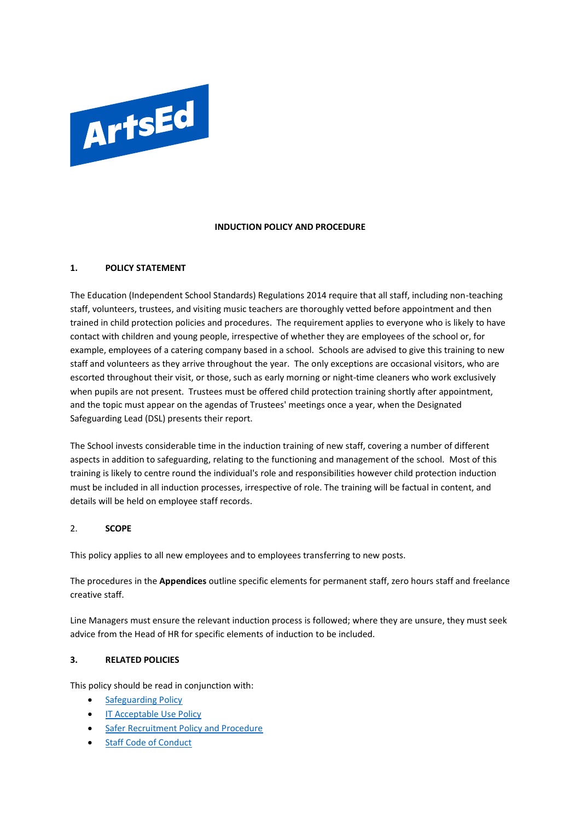

### **INDUCTION POLICY AND PROCEDURE**

### **1. POLICY STATEMENT**

The Education (Independent School Standards) Regulations 2014 require that all staff, including non-teaching staff, volunteers, trustees, and visiting music teachers are thoroughly vetted before appointment and then trained in child protection policies and procedures. The requirement applies to everyone who is likely to have contact with children and young people, irrespective of whether they are employees of the school or, for example, employees of a catering company based in a school. Schools are advised to give this training to new staff and volunteers as they arrive throughout the year. The only exceptions are occasional visitors, who are escorted throughout their visit, or those, such as early morning or night-time cleaners who work exclusively when pupils are not present. Trustees must be offered child protection training shortly after appointment, and the topic must appear on the agendas of Trustees' meetings once a year, when the Designated Safeguarding Lead (DSL) presents their report.

The School invests considerable time in the induction training of new staff, covering a number of different aspects in addition to safeguarding, relating to the functioning and management of the school. Most of this training is likely to centre round the individual's role and responsibilities however child protection induction must be included in all induction processes, irrespective of role. The training will be factual in content, and details will be held on employee staff records.

#### 2. **SCOPE**

This policy applies to all new employees and to employees transferring to new posts.

The procedures in the **Appendices** outline specific elements for permanent staff, zero hours staff and freelance creative staff.

Line Managers must ensure the relevant induction process is followed; where they are unsure, they must seek advice from the Head of HR for specific elements of induction to be included.

#### **3. RELATED POLICIES**

This policy should be read in conjunction with:

- [Safeguarding Policy](https://artsed003.blob.core.windows.net/policy/safeguarding-policy.pdf)
- [IT Acceptable Use Policy](https://artsed003.blob.core.windows.net/policy/it-acceptable-use-policy.pdf)
- [Safer Recruitment Policy and Procedure](https://artsed003.blob.core.windows.net/policy/safer-recruitment-policy.pdf)
- **[Staff Code of Conduct](https://artsed003.blob.core.windows.net/policy/staff-code-of-conduct.pdf)**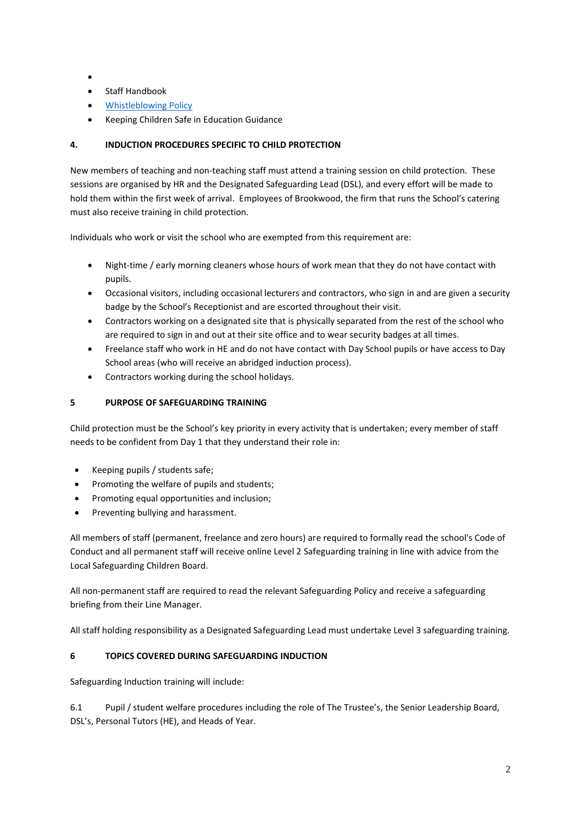- •
- Staff Handbook
- [Whistleblowing Policy](https://artsed003.blob.core.windows.net/policy/whistleblowing-policy-and-procedure.pdf)
- Keeping Children Safe in Education Guidance

## **4. INDUCTION PROCEDURES SPECIFIC TO CHILD PROTECTION**

New members of teaching and non-teaching staff must attend a training session on child protection. These sessions are organised by HR and the Designated Safeguarding Lead (DSL), and every effort will be made to hold them within the first week of arrival. Employees of Brookwood, the firm that runs the School's catering must also receive training in child protection.

Individuals who work or visit the school who are exempted from this requirement are:

- Night-time / early morning cleaners whose hours of work mean that they do not have contact with pupils.
- Occasional visitors, including occasional lecturers and contractors, who sign in and are given a security badge by the School's Receptionist and are escorted throughout their visit.
- Contractors working on a designated site that is physically separated from the rest of the school who are required to sign in and out at their site office and to wear security badges at all times.
- Freelance staff who work in HE and do not have contact with Day School pupils or have access to Day School areas (who will receive an abridged induction process).
- Contractors working during the school holidays.

## **5 PURPOSE OF SAFEGUARDING TRAINING**

Child protection must be the School's key priority in every activity that is undertaken; every member of staff needs to be confident from Day 1 that they understand their role in:

- Keeping pupils / students safe;
- Promoting the welfare of pupils and students;
- Promoting equal opportunities and inclusion;
- Preventing bullying and harassment.

All members of staff (permanent, freelance and zero hours) are required to formally read the school's Code of Conduct and all permanent staff will receive online Level 2 Safeguarding training in line with advice from the Local Safeguarding Children Board.

All non-permanent staff are required to read the relevant Safeguarding Policy and receive a safeguarding briefing from their Line Manager.

All staff holding responsibility as a Designated Safeguarding Lead must undertake Level 3 safeguarding training.

## **6 TOPICS COVERED DURING SAFEGUARDING INDUCTION**

Safeguarding Induction training will include:

6.1 Pupil / student welfare procedures including the role of The Trustee's, the Senior Leadership Board, DSL's, Personal Tutors (HE), and Heads of Year.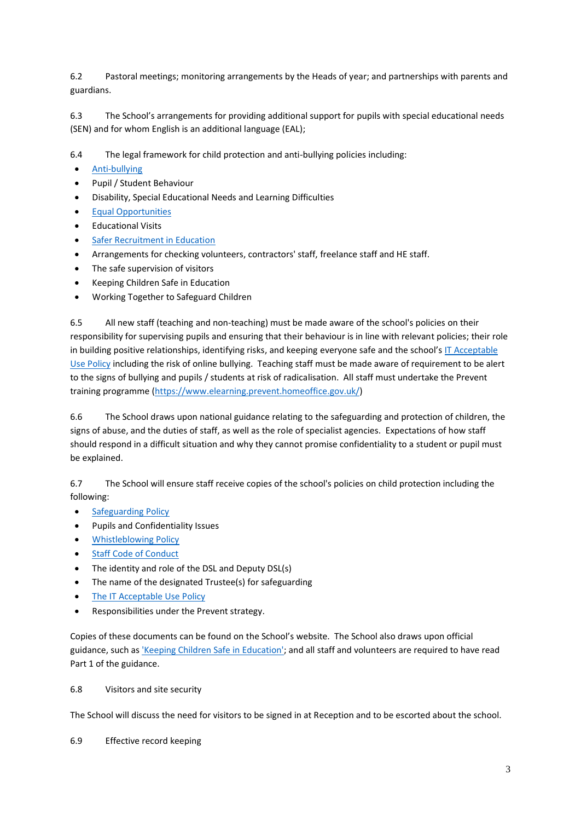6.2 Pastoral meetings; monitoring arrangements by the Heads of year; and partnerships with parents and guardians.

6.3 The School's arrangements for providing additional support for pupils with special educational needs (SEN) and for whom English is an additional language (EAL);

6.4 The legal framework for child protection and anti-bullying policies including:

- [Anti-bullying](https://artsed003.blob.core.windows.net/policy/staff-anti-bullying-policy.pdf)
- Pupil / Student Behaviour
- Disability, Special Educational Needs and Learning Difficulties
- [Equal Opportunities](https://artsed003.blob.core.windows.net/policy/equal-opportunities-policy.pdf)
- Educational Visits
- [Safer Recruitment in Education](https://artsed003.blob.core.windows.net/policy/safer-recruitment-policy.pdf)
- Arrangements for checking volunteers, contractors' staff, freelance staff and HE staff.
- The safe supervision of visitors
- Keeping Children Safe in Education
- Working Together to Safeguard Children

6.5 All new staff (teaching and non-teaching) must be made aware of the school's policies on their responsibility for supervising pupils and ensuring that their behaviour is in line with relevant policies; their role in building positive relationships, identifying risks, and keeping everyone safe and the school's [IT Acceptable](https://artsed003.blob.core.windows.net/policy/it-acceptable-use-policy.pdf)  [Use Policy](https://artsed003.blob.core.windows.net/policy/it-acceptable-use-policy.pdf) including the risk of online bullying. Teaching staff must be made aware of requirement to be alert to the signs of bullying and pupils / students at risk of radicalisation. All staff must undertake the Prevent training programme [\(https://www.elearning.prevent.homeoffice.gov.uk/\)](https://www.elearning.prevent.homeoffice.gov.uk/)

6.6 The School draws upon national guidance relating to the safeguarding and protection of children, the signs of abuse, and the duties of staff, as well as the role of specialist agencies. Expectations of how staff should respond in a difficult situation and why they cannot promise confidentiality to a student or pupil must be explained.

6.7 The School will ensure staff receive copies of the school's policies on child protection including the following:

- [Safeguarding Policy](https://artsed003.blob.core.windows.net/policy/safeguarding-policy.pdf)
- Pupils and Confidentiality Issues
- [Whistleblowing Policy](https://artsed003.blob.core.windows.net/policy/whistleblowing-policy-and-procedure.pdf)
- **[Staff Code of Conduct](https://artsed003.blob.core.windows.net/policy/staff-code-of-conduct.pdf)**
- The identity and role of the DSL and Deputy DSL(s)
- The name of the designated Trustee(s) for safeguarding
- The [IT Acceptable Use Policy](https://artsed003.blob.core.windows.net/policy/it-acceptable-use-policy.pdf)
- Responsibilities under the Prevent strategy.

Copies of these documents can be found on the School's website. The School also draws upon official guidance, such a[s 'Keeping Children Safe](https://www.gov.uk/government/publications/keeping-children-safe-in-education--2) in Education'; and all staff and volunteers are required to have read Part 1 of the guidance.

## 6.8 Visitors and site security

The School will discuss the need for visitors to be signed in at Reception and to be escorted about the school.

6.9 Effective record keeping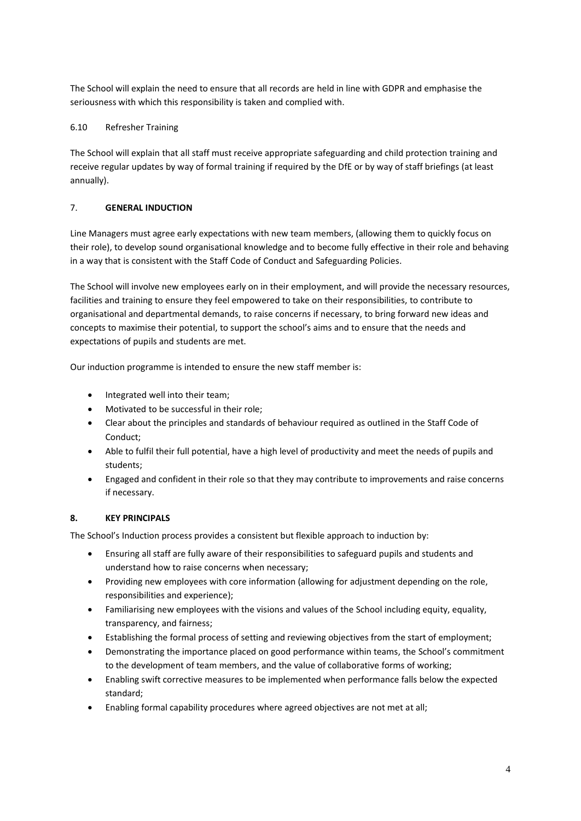The School will explain the need to ensure that all records are held in line with GDPR and emphasise the seriousness with which this responsibility is taken and complied with.

## 6.10 Refresher Training

The School will explain that all staff must receive appropriate safeguarding and child protection training and receive regular updates by way of formal training if required by the DfE or by way of staff briefings (at least annually).

## 7. **GENERAL INDUCTION**

Line Managers must agree early expectations with new team members, (allowing them to quickly focus on their role), to develop sound organisational knowledge and to become fully effective in their role and behaving in a way that is consistent with the Staff Code of Conduct and Safeguarding Policies.

The School will involve new employees early on in their employment, and will provide the necessary resources, facilities and training to ensure they feel empowered to take on their responsibilities, to contribute to organisational and departmental demands, to raise concerns if necessary, to bring forward new ideas and concepts to maximise their potential, to support the school's aims and to ensure that the needs and expectations of pupils and students are met.

Our induction programme is intended to ensure the new staff member is:

- Integrated well into their team;
- Motivated to be successful in their role;
- Clear about the principles and standards of behaviour required as outlined in the Staff Code of Conduct;
- Able to fulfil their full potential, have a high level of productivity and meet the needs of pupils and students;
- Engaged and confident in their role so that they may contribute to improvements and raise concerns if necessary.

## **8. KEY PRINCIPALS**

The School's Induction process provides a consistent but flexible approach to induction by:

- Ensuring all staff are fully aware of their responsibilities to safeguard pupils and students and understand how to raise concerns when necessary;
- Providing new employees with core information (allowing for adjustment depending on the role, responsibilities and experience);
- Familiarising new employees with the visions and values of the School including equity, equality, transparency, and fairness;
- Establishing the formal process of setting and reviewing objectives from the start of employment;
- Demonstrating the importance placed on good performance within teams, the School's commitment to the development of team members, and the value of collaborative forms of working;
- Enabling swift corrective measures to be implemented when performance falls below the expected standard;
- Enabling formal capability procedures where agreed objectives are not met at all;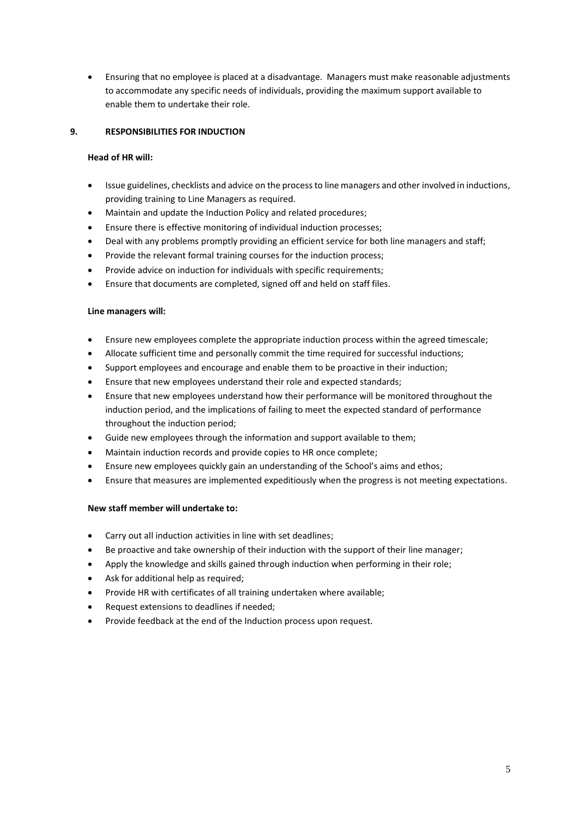• Ensuring that no employee is placed at a disadvantage. Managers must make reasonable adjustments to accommodate any specific needs of individuals, providing the maximum support available to enable them to undertake their role.

## **9. RESPONSIBILITIES FOR INDUCTION**

### **Head of HR will:**

- Issue guidelines, checklists and advice on the process to line managers and other involved in inductions, providing training to Line Managers as required.
- Maintain and update the Induction Policy and related procedures;
- Ensure there is effective monitoring of individual induction processes;
- Deal with any problems promptly providing an efficient service for both line managers and staff;
- Provide the relevant formal training courses for the induction process;
- Provide advice on induction for individuals with specific requirements;
- Ensure that documents are completed, signed off and held on staff files.

### **Line managers will:**

- Ensure new employees complete the appropriate induction process within the agreed timescale;
- Allocate sufficient time and personally commit the time required for successful inductions;
- Support employees and encourage and enable them to be proactive in their induction;
- Ensure that new employees understand their role and expected standards;
- Ensure that new employees understand how their performance will be monitored throughout the induction period, and the implications of failing to meet the expected standard of performance throughout the induction period;
- Guide new employees through the information and support available to them;
- Maintain induction records and provide copies to HR once complete;
- Ensure new employees quickly gain an understanding of the School's aims and ethos;
- Ensure that measures are implemented expeditiously when the progress is not meeting expectations.

## **New staff member will undertake to:**

- Carry out all induction activities in line with set deadlines;
- Be proactive and take ownership of their induction with the support of their line manager;
- Apply the knowledge and skills gained through induction when performing in their role;
- Ask for additional help as required;
- Provide HR with certificates of all training undertaken where available;
- Request extensions to deadlines if needed;
- Provide feedback at the end of the Induction process upon request.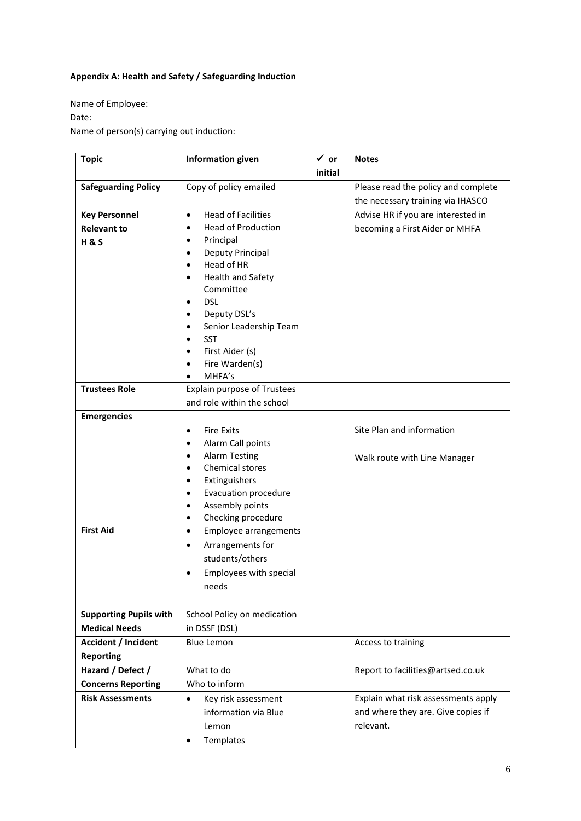# **Appendix A: Health and Safety / Safeguarding Induction**

Name of Employee:

Date:

Name of person(s) carrying out induction:

| <b>Topic</b>                  | <b>Information given</b>                                            | $\checkmark$ or | <b>Notes</b>                        |
|-------------------------------|---------------------------------------------------------------------|-----------------|-------------------------------------|
|                               |                                                                     | initial         |                                     |
| <b>Safeguarding Policy</b>    | Copy of policy emailed                                              |                 | Please read the policy and complete |
|                               |                                                                     |                 | the necessary training via IHASCO   |
| <b>Key Personnel</b>          | <b>Head of Facilities</b><br>$\bullet$                              |                 | Advise HR if you are interested in  |
| <b>Relevant to</b>            | <b>Head of Production</b><br>$\bullet$                              |                 | becoming a First Aider or MHFA      |
| <b>H&amp;S</b>                | Principal<br>$\bullet$                                              |                 |                                     |
|                               | Deputy Principal<br>$\bullet$                                       |                 |                                     |
|                               | Head of HR<br>$\bullet$                                             |                 |                                     |
|                               | Health and Safety<br>$\bullet$                                      |                 |                                     |
|                               | Committee                                                           |                 |                                     |
|                               | <b>DSL</b><br>$\bullet$                                             |                 |                                     |
|                               | Deputy DSL's<br>$\bullet$                                           |                 |                                     |
|                               | Senior Leadership Team<br>$\bullet$                                 |                 |                                     |
|                               | <b>SST</b><br>$\bullet$                                             |                 |                                     |
|                               | First Aider (s)<br>$\bullet$<br>Fire Warden(s)<br>$\bullet$         |                 |                                     |
|                               | MHFA's                                                              |                 |                                     |
| <b>Trustees Role</b>          | Explain purpose of Trustees                                         |                 |                                     |
|                               | and role within the school                                          |                 |                                     |
| <b>Emergencies</b>            |                                                                     |                 |                                     |
|                               | <b>Fire Exits</b>                                                   |                 | Site Plan and information           |
|                               | $\bullet$                                                           |                 |                                     |
|                               | Alarm Call points<br>$\bullet$<br><b>Alarm Testing</b><br>$\bullet$ |                 |                                     |
|                               | Chemical stores<br>$\bullet$                                        |                 | Walk route with Line Manager        |
|                               | Extinguishers<br>$\bullet$                                          |                 |                                     |
|                               | <b>Evacuation procedure</b><br>$\bullet$                            |                 |                                     |
|                               | Assembly points<br>$\bullet$                                        |                 |                                     |
|                               | Checking procedure<br>$\bullet$                                     |                 |                                     |
| <b>First Aid</b>              | Employee arrangements<br>$\bullet$                                  |                 |                                     |
|                               | Arrangements for<br>$\bullet$                                       |                 |                                     |
|                               | students/others                                                     |                 |                                     |
|                               | Employees with special<br>$\bullet$                                 |                 |                                     |
|                               | needs                                                               |                 |                                     |
|                               |                                                                     |                 |                                     |
| <b>Supporting Pupils with</b> | School Policy on medication                                         |                 |                                     |
| <b>Medical Needs</b>          | in DSSF (DSL)                                                       |                 |                                     |
| <b>Accident / Incident</b>    | <b>Blue Lemon</b>                                                   |                 | Access to training                  |
| <b>Reporting</b>              |                                                                     |                 |                                     |
| Hazard / Defect /             | What to do                                                          |                 | Report to facilities@artsed.co.uk   |
| <b>Concerns Reporting</b>     | Who to inform                                                       |                 |                                     |
| <b>Risk Assessments</b>       | $\bullet$<br>Key risk assessment                                    |                 | Explain what risk assessments apply |
|                               | information via Blue                                                |                 | and where they are. Give copies if  |
|                               | Lemon                                                               |                 | relevant.                           |
|                               | Templates                                                           |                 |                                     |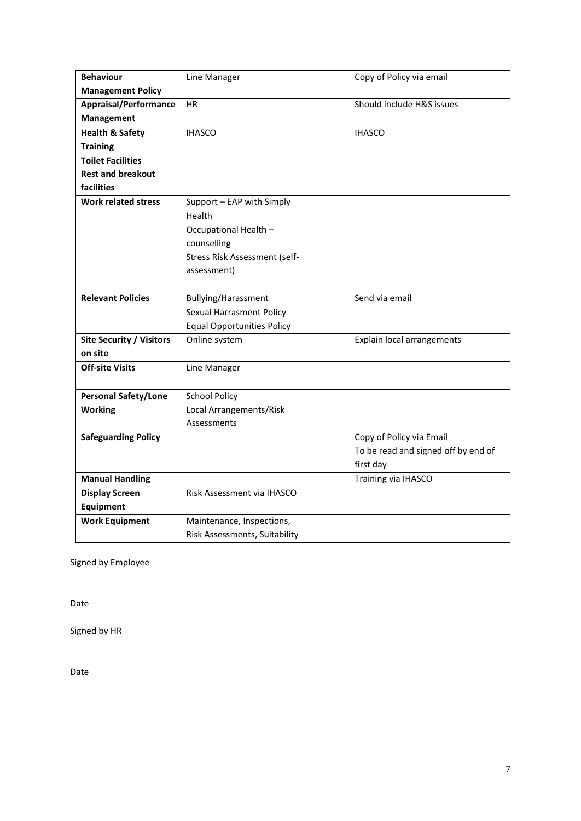| <b>Behaviour</b>                | Line Manager                      | Copy of Policy via email            |
|---------------------------------|-----------------------------------|-------------------------------------|
| <b>Management Policy</b>        |                                   |                                     |
| <b>Appraisal/Performance</b>    | <b>HR</b>                         | Should include H&S issues           |
| Management                      |                                   |                                     |
| <b>Health &amp; Safety</b>      | <b>IHASCO</b>                     | <b>IHASCO</b>                       |
| <b>Training</b>                 |                                   |                                     |
| <b>Toilet Facilities</b>        |                                   |                                     |
| <b>Rest and breakout</b>        |                                   |                                     |
| facilities                      |                                   |                                     |
| <b>Work related stress</b>      | Support - EAP with Simply         |                                     |
|                                 | Health                            |                                     |
|                                 | Occupational Health -             |                                     |
|                                 | counselling                       |                                     |
|                                 | Stress Risk Assessment (self-     |                                     |
|                                 | assessment)                       |                                     |
|                                 |                                   |                                     |
| <b>Relevant Policies</b>        | Bullying/Harassment               | Send via email                      |
|                                 | <b>Sexual Harrasment Policy</b>   |                                     |
|                                 | <b>Equal Opportunities Policy</b> |                                     |
| <b>Site Security / Visitors</b> | Online system                     | Explain local arrangements          |
| on site                         |                                   |                                     |
| <b>Off-site Visits</b>          | Line Manager                      |                                     |
|                                 |                                   |                                     |
| Personal Safety/Lone            | <b>School Policy</b>              |                                     |
| <b>Working</b>                  | Local Arrangements/Risk           |                                     |
|                                 | Assessments                       |                                     |
| <b>Safeguarding Policy</b>      |                                   | Copy of Policy via Email            |
|                                 |                                   | To be read and signed off by end of |
|                                 |                                   | first day                           |
| <b>Manual Handling</b>          |                                   | Training via IHASCO                 |
| <b>Display Screen</b>           | Risk Assessment via IHASCO        |                                     |
| <b>Equipment</b>                |                                   |                                     |
| <b>Work Equipment</b>           | Maintenance, Inspections,         |                                     |
|                                 | Risk Assessments, Suitability     |                                     |

Signed by Employee

Date

Signed by HR

Date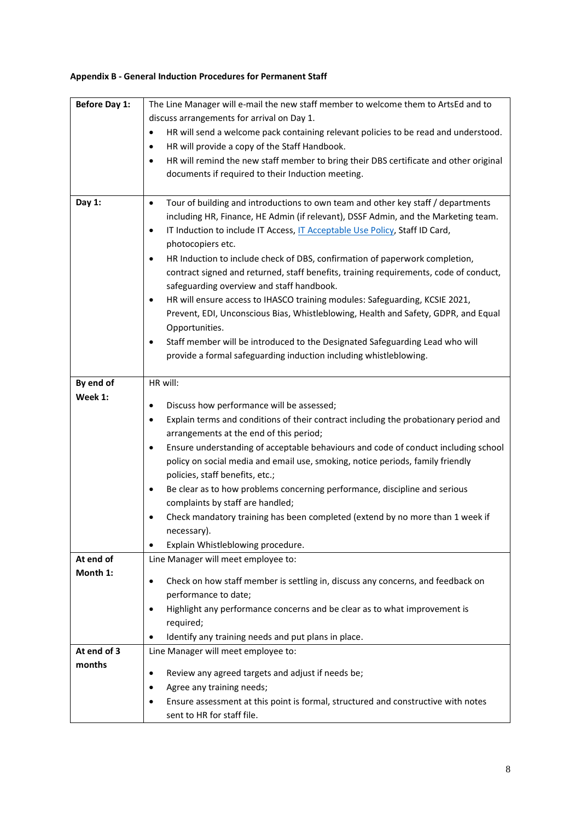# **Appendix B - General Induction Procedures for Permanent Staff**

| discuss arrangements for arrival on Day 1.<br>HR will send a welcome pack containing relevant policies to be read and understood.<br>٠<br>HR will provide a copy of the Staff Handbook.<br>$\bullet$<br>HR will remind the new staff member to bring their DBS certificate and other original<br>$\bullet$<br>documents if required to their Induction meeting.<br>Tour of building and introductions to own team and other key staff / departments<br>Day 1:<br>$\bullet$<br>including HR, Finance, HE Admin (if relevant), DSSF Admin, and the Marketing team.<br>IT Induction to include IT Access, IT Acceptable Use Policy, Staff ID Card,<br>$\bullet$<br>photocopiers etc.<br>HR Induction to include check of DBS, confirmation of paperwork completion,<br>$\bullet$<br>contract signed and returned, staff benefits, training requirements, code of conduct,<br>safeguarding overview and staff handbook.<br>HR will ensure access to IHASCO training modules: Safeguarding, KCSIE 2021,<br>$\bullet$<br>Prevent, EDI, Unconscious Bias, Whistleblowing, Health and Safety, GDPR, and Equal<br>Opportunities.<br>Staff member will be introduced to the Designated Safeguarding Lead who will<br>$\bullet$<br>provide a formal safeguarding induction including whistleblowing.<br>HR will:<br>By end of<br>Week 1:<br>Discuss how performance will be assessed;<br>$\bullet$<br>Explain terms and conditions of their contract including the probationary period and<br>$\bullet$<br>arrangements at the end of this period;<br>Ensure understanding of acceptable behaviours and code of conduct including school<br>٠<br>policy on social media and email use, smoking, notice periods, family friendly<br>policies, staff benefits, etc.;<br>Be clear as to how problems concerning performance, discipline and serious<br>$\bullet$<br>complaints by staff are handled;<br>Check mandatory training has been completed (extend by no more than 1 week if<br>necessary).<br>Explain Whistleblowing procedure.<br>$\bullet$<br>At end of<br>Line Manager will meet employee to:<br>Month 1:<br>Check on how staff member is settling in, discuss any concerns, and feedback on<br>٠<br>performance to date;<br>Highlight any performance concerns and be clear as to what improvement is<br>$\bullet$<br>required;<br>Identify any training needs and put plans in place.<br>At end of 3<br>Line Manager will meet employee to: | <b>Before Day 1:</b> | The Line Manager will e-mail the new staff member to welcome them to ArtsEd and to |  |  |
|----------------------------------------------------------------------------------------------------------------------------------------------------------------------------------------------------------------------------------------------------------------------------------------------------------------------------------------------------------------------------------------------------------------------------------------------------------------------------------------------------------------------------------------------------------------------------------------------------------------------------------------------------------------------------------------------------------------------------------------------------------------------------------------------------------------------------------------------------------------------------------------------------------------------------------------------------------------------------------------------------------------------------------------------------------------------------------------------------------------------------------------------------------------------------------------------------------------------------------------------------------------------------------------------------------------------------------------------------------------------------------------------------------------------------------------------------------------------------------------------------------------------------------------------------------------------------------------------------------------------------------------------------------------------------------------------------------------------------------------------------------------------------------------------------------------------------------------------------------------------------------------------------------------------------------------------------------------------------------------------------------------------------------------------------------------------------------------------------------------------------------------------------------------------------------------------------------------------------------------------------------------------------------------------------------------------------------------------------------------------------------------------------------------------------------------------|----------------------|------------------------------------------------------------------------------------|--|--|
|                                                                                                                                                                                                                                                                                                                                                                                                                                                                                                                                                                                                                                                                                                                                                                                                                                                                                                                                                                                                                                                                                                                                                                                                                                                                                                                                                                                                                                                                                                                                                                                                                                                                                                                                                                                                                                                                                                                                                                                                                                                                                                                                                                                                                                                                                                                                                                                                                                              |                      |                                                                                    |  |  |
|                                                                                                                                                                                                                                                                                                                                                                                                                                                                                                                                                                                                                                                                                                                                                                                                                                                                                                                                                                                                                                                                                                                                                                                                                                                                                                                                                                                                                                                                                                                                                                                                                                                                                                                                                                                                                                                                                                                                                                                                                                                                                                                                                                                                                                                                                                                                                                                                                                              |                      |                                                                                    |  |  |
|                                                                                                                                                                                                                                                                                                                                                                                                                                                                                                                                                                                                                                                                                                                                                                                                                                                                                                                                                                                                                                                                                                                                                                                                                                                                                                                                                                                                                                                                                                                                                                                                                                                                                                                                                                                                                                                                                                                                                                                                                                                                                                                                                                                                                                                                                                                                                                                                                                              |                      |                                                                                    |  |  |
|                                                                                                                                                                                                                                                                                                                                                                                                                                                                                                                                                                                                                                                                                                                                                                                                                                                                                                                                                                                                                                                                                                                                                                                                                                                                                                                                                                                                                                                                                                                                                                                                                                                                                                                                                                                                                                                                                                                                                                                                                                                                                                                                                                                                                                                                                                                                                                                                                                              |                      |                                                                                    |  |  |
|                                                                                                                                                                                                                                                                                                                                                                                                                                                                                                                                                                                                                                                                                                                                                                                                                                                                                                                                                                                                                                                                                                                                                                                                                                                                                                                                                                                                                                                                                                                                                                                                                                                                                                                                                                                                                                                                                                                                                                                                                                                                                                                                                                                                                                                                                                                                                                                                                                              |                      |                                                                                    |  |  |
|                                                                                                                                                                                                                                                                                                                                                                                                                                                                                                                                                                                                                                                                                                                                                                                                                                                                                                                                                                                                                                                                                                                                                                                                                                                                                                                                                                                                                                                                                                                                                                                                                                                                                                                                                                                                                                                                                                                                                                                                                                                                                                                                                                                                                                                                                                                                                                                                                                              |                      |                                                                                    |  |  |
|                                                                                                                                                                                                                                                                                                                                                                                                                                                                                                                                                                                                                                                                                                                                                                                                                                                                                                                                                                                                                                                                                                                                                                                                                                                                                                                                                                                                                                                                                                                                                                                                                                                                                                                                                                                                                                                                                                                                                                                                                                                                                                                                                                                                                                                                                                                                                                                                                                              |                      |                                                                                    |  |  |
|                                                                                                                                                                                                                                                                                                                                                                                                                                                                                                                                                                                                                                                                                                                                                                                                                                                                                                                                                                                                                                                                                                                                                                                                                                                                                                                                                                                                                                                                                                                                                                                                                                                                                                                                                                                                                                                                                                                                                                                                                                                                                                                                                                                                                                                                                                                                                                                                                                              |                      |                                                                                    |  |  |
|                                                                                                                                                                                                                                                                                                                                                                                                                                                                                                                                                                                                                                                                                                                                                                                                                                                                                                                                                                                                                                                                                                                                                                                                                                                                                                                                                                                                                                                                                                                                                                                                                                                                                                                                                                                                                                                                                                                                                                                                                                                                                                                                                                                                                                                                                                                                                                                                                                              |                      |                                                                                    |  |  |
|                                                                                                                                                                                                                                                                                                                                                                                                                                                                                                                                                                                                                                                                                                                                                                                                                                                                                                                                                                                                                                                                                                                                                                                                                                                                                                                                                                                                                                                                                                                                                                                                                                                                                                                                                                                                                                                                                                                                                                                                                                                                                                                                                                                                                                                                                                                                                                                                                                              |                      |                                                                                    |  |  |
|                                                                                                                                                                                                                                                                                                                                                                                                                                                                                                                                                                                                                                                                                                                                                                                                                                                                                                                                                                                                                                                                                                                                                                                                                                                                                                                                                                                                                                                                                                                                                                                                                                                                                                                                                                                                                                                                                                                                                                                                                                                                                                                                                                                                                                                                                                                                                                                                                                              |                      |                                                                                    |  |  |
|                                                                                                                                                                                                                                                                                                                                                                                                                                                                                                                                                                                                                                                                                                                                                                                                                                                                                                                                                                                                                                                                                                                                                                                                                                                                                                                                                                                                                                                                                                                                                                                                                                                                                                                                                                                                                                                                                                                                                                                                                                                                                                                                                                                                                                                                                                                                                                                                                                              |                      |                                                                                    |  |  |
|                                                                                                                                                                                                                                                                                                                                                                                                                                                                                                                                                                                                                                                                                                                                                                                                                                                                                                                                                                                                                                                                                                                                                                                                                                                                                                                                                                                                                                                                                                                                                                                                                                                                                                                                                                                                                                                                                                                                                                                                                                                                                                                                                                                                                                                                                                                                                                                                                                              |                      |                                                                                    |  |  |
|                                                                                                                                                                                                                                                                                                                                                                                                                                                                                                                                                                                                                                                                                                                                                                                                                                                                                                                                                                                                                                                                                                                                                                                                                                                                                                                                                                                                                                                                                                                                                                                                                                                                                                                                                                                                                                                                                                                                                                                                                                                                                                                                                                                                                                                                                                                                                                                                                                              |                      |                                                                                    |  |  |
|                                                                                                                                                                                                                                                                                                                                                                                                                                                                                                                                                                                                                                                                                                                                                                                                                                                                                                                                                                                                                                                                                                                                                                                                                                                                                                                                                                                                                                                                                                                                                                                                                                                                                                                                                                                                                                                                                                                                                                                                                                                                                                                                                                                                                                                                                                                                                                                                                                              |                      |                                                                                    |  |  |
|                                                                                                                                                                                                                                                                                                                                                                                                                                                                                                                                                                                                                                                                                                                                                                                                                                                                                                                                                                                                                                                                                                                                                                                                                                                                                                                                                                                                                                                                                                                                                                                                                                                                                                                                                                                                                                                                                                                                                                                                                                                                                                                                                                                                                                                                                                                                                                                                                                              |                      |                                                                                    |  |  |
|                                                                                                                                                                                                                                                                                                                                                                                                                                                                                                                                                                                                                                                                                                                                                                                                                                                                                                                                                                                                                                                                                                                                                                                                                                                                                                                                                                                                                                                                                                                                                                                                                                                                                                                                                                                                                                                                                                                                                                                                                                                                                                                                                                                                                                                                                                                                                                                                                                              |                      |                                                                                    |  |  |
|                                                                                                                                                                                                                                                                                                                                                                                                                                                                                                                                                                                                                                                                                                                                                                                                                                                                                                                                                                                                                                                                                                                                                                                                                                                                                                                                                                                                                                                                                                                                                                                                                                                                                                                                                                                                                                                                                                                                                                                                                                                                                                                                                                                                                                                                                                                                                                                                                                              |                      |                                                                                    |  |  |
|                                                                                                                                                                                                                                                                                                                                                                                                                                                                                                                                                                                                                                                                                                                                                                                                                                                                                                                                                                                                                                                                                                                                                                                                                                                                                                                                                                                                                                                                                                                                                                                                                                                                                                                                                                                                                                                                                                                                                                                                                                                                                                                                                                                                                                                                                                                                                                                                                                              |                      |                                                                                    |  |  |
|                                                                                                                                                                                                                                                                                                                                                                                                                                                                                                                                                                                                                                                                                                                                                                                                                                                                                                                                                                                                                                                                                                                                                                                                                                                                                                                                                                                                                                                                                                                                                                                                                                                                                                                                                                                                                                                                                                                                                                                                                                                                                                                                                                                                                                                                                                                                                                                                                                              |                      |                                                                                    |  |  |
|                                                                                                                                                                                                                                                                                                                                                                                                                                                                                                                                                                                                                                                                                                                                                                                                                                                                                                                                                                                                                                                                                                                                                                                                                                                                                                                                                                                                                                                                                                                                                                                                                                                                                                                                                                                                                                                                                                                                                                                                                                                                                                                                                                                                                                                                                                                                                                                                                                              |                      |                                                                                    |  |  |
|                                                                                                                                                                                                                                                                                                                                                                                                                                                                                                                                                                                                                                                                                                                                                                                                                                                                                                                                                                                                                                                                                                                                                                                                                                                                                                                                                                                                                                                                                                                                                                                                                                                                                                                                                                                                                                                                                                                                                                                                                                                                                                                                                                                                                                                                                                                                                                                                                                              |                      |                                                                                    |  |  |
|                                                                                                                                                                                                                                                                                                                                                                                                                                                                                                                                                                                                                                                                                                                                                                                                                                                                                                                                                                                                                                                                                                                                                                                                                                                                                                                                                                                                                                                                                                                                                                                                                                                                                                                                                                                                                                                                                                                                                                                                                                                                                                                                                                                                                                                                                                                                                                                                                                              |                      |                                                                                    |  |  |
|                                                                                                                                                                                                                                                                                                                                                                                                                                                                                                                                                                                                                                                                                                                                                                                                                                                                                                                                                                                                                                                                                                                                                                                                                                                                                                                                                                                                                                                                                                                                                                                                                                                                                                                                                                                                                                                                                                                                                                                                                                                                                                                                                                                                                                                                                                                                                                                                                                              |                      |                                                                                    |  |  |
|                                                                                                                                                                                                                                                                                                                                                                                                                                                                                                                                                                                                                                                                                                                                                                                                                                                                                                                                                                                                                                                                                                                                                                                                                                                                                                                                                                                                                                                                                                                                                                                                                                                                                                                                                                                                                                                                                                                                                                                                                                                                                                                                                                                                                                                                                                                                                                                                                                              |                      |                                                                                    |  |  |
|                                                                                                                                                                                                                                                                                                                                                                                                                                                                                                                                                                                                                                                                                                                                                                                                                                                                                                                                                                                                                                                                                                                                                                                                                                                                                                                                                                                                                                                                                                                                                                                                                                                                                                                                                                                                                                                                                                                                                                                                                                                                                                                                                                                                                                                                                                                                                                                                                                              |                      |                                                                                    |  |  |
|                                                                                                                                                                                                                                                                                                                                                                                                                                                                                                                                                                                                                                                                                                                                                                                                                                                                                                                                                                                                                                                                                                                                                                                                                                                                                                                                                                                                                                                                                                                                                                                                                                                                                                                                                                                                                                                                                                                                                                                                                                                                                                                                                                                                                                                                                                                                                                                                                                              |                      |                                                                                    |  |  |
|                                                                                                                                                                                                                                                                                                                                                                                                                                                                                                                                                                                                                                                                                                                                                                                                                                                                                                                                                                                                                                                                                                                                                                                                                                                                                                                                                                                                                                                                                                                                                                                                                                                                                                                                                                                                                                                                                                                                                                                                                                                                                                                                                                                                                                                                                                                                                                                                                                              |                      |                                                                                    |  |  |
|                                                                                                                                                                                                                                                                                                                                                                                                                                                                                                                                                                                                                                                                                                                                                                                                                                                                                                                                                                                                                                                                                                                                                                                                                                                                                                                                                                                                                                                                                                                                                                                                                                                                                                                                                                                                                                                                                                                                                                                                                                                                                                                                                                                                                                                                                                                                                                                                                                              |                      |                                                                                    |  |  |
|                                                                                                                                                                                                                                                                                                                                                                                                                                                                                                                                                                                                                                                                                                                                                                                                                                                                                                                                                                                                                                                                                                                                                                                                                                                                                                                                                                                                                                                                                                                                                                                                                                                                                                                                                                                                                                                                                                                                                                                                                                                                                                                                                                                                                                                                                                                                                                                                                                              |                      |                                                                                    |  |  |
|                                                                                                                                                                                                                                                                                                                                                                                                                                                                                                                                                                                                                                                                                                                                                                                                                                                                                                                                                                                                                                                                                                                                                                                                                                                                                                                                                                                                                                                                                                                                                                                                                                                                                                                                                                                                                                                                                                                                                                                                                                                                                                                                                                                                                                                                                                                                                                                                                                              |                      |                                                                                    |  |  |
|                                                                                                                                                                                                                                                                                                                                                                                                                                                                                                                                                                                                                                                                                                                                                                                                                                                                                                                                                                                                                                                                                                                                                                                                                                                                                                                                                                                                                                                                                                                                                                                                                                                                                                                                                                                                                                                                                                                                                                                                                                                                                                                                                                                                                                                                                                                                                                                                                                              |                      |                                                                                    |  |  |
|                                                                                                                                                                                                                                                                                                                                                                                                                                                                                                                                                                                                                                                                                                                                                                                                                                                                                                                                                                                                                                                                                                                                                                                                                                                                                                                                                                                                                                                                                                                                                                                                                                                                                                                                                                                                                                                                                                                                                                                                                                                                                                                                                                                                                                                                                                                                                                                                                                              |                      |                                                                                    |  |  |
|                                                                                                                                                                                                                                                                                                                                                                                                                                                                                                                                                                                                                                                                                                                                                                                                                                                                                                                                                                                                                                                                                                                                                                                                                                                                                                                                                                                                                                                                                                                                                                                                                                                                                                                                                                                                                                                                                                                                                                                                                                                                                                                                                                                                                                                                                                                                                                                                                                              |                      |                                                                                    |  |  |
|                                                                                                                                                                                                                                                                                                                                                                                                                                                                                                                                                                                                                                                                                                                                                                                                                                                                                                                                                                                                                                                                                                                                                                                                                                                                                                                                                                                                                                                                                                                                                                                                                                                                                                                                                                                                                                                                                                                                                                                                                                                                                                                                                                                                                                                                                                                                                                                                                                              |                      |                                                                                    |  |  |
|                                                                                                                                                                                                                                                                                                                                                                                                                                                                                                                                                                                                                                                                                                                                                                                                                                                                                                                                                                                                                                                                                                                                                                                                                                                                                                                                                                                                                                                                                                                                                                                                                                                                                                                                                                                                                                                                                                                                                                                                                                                                                                                                                                                                                                                                                                                                                                                                                                              |                      |                                                                                    |  |  |
|                                                                                                                                                                                                                                                                                                                                                                                                                                                                                                                                                                                                                                                                                                                                                                                                                                                                                                                                                                                                                                                                                                                                                                                                                                                                                                                                                                                                                                                                                                                                                                                                                                                                                                                                                                                                                                                                                                                                                                                                                                                                                                                                                                                                                                                                                                                                                                                                                                              |                      |                                                                                    |  |  |
|                                                                                                                                                                                                                                                                                                                                                                                                                                                                                                                                                                                                                                                                                                                                                                                                                                                                                                                                                                                                                                                                                                                                                                                                                                                                                                                                                                                                                                                                                                                                                                                                                                                                                                                                                                                                                                                                                                                                                                                                                                                                                                                                                                                                                                                                                                                                                                                                                                              |                      |                                                                                    |  |  |
|                                                                                                                                                                                                                                                                                                                                                                                                                                                                                                                                                                                                                                                                                                                                                                                                                                                                                                                                                                                                                                                                                                                                                                                                                                                                                                                                                                                                                                                                                                                                                                                                                                                                                                                                                                                                                                                                                                                                                                                                                                                                                                                                                                                                                                                                                                                                                                                                                                              |                      |                                                                                    |  |  |
| months<br>Review any agreed targets and adjust if needs be;<br>$\bullet$                                                                                                                                                                                                                                                                                                                                                                                                                                                                                                                                                                                                                                                                                                                                                                                                                                                                                                                                                                                                                                                                                                                                                                                                                                                                                                                                                                                                                                                                                                                                                                                                                                                                                                                                                                                                                                                                                                                                                                                                                                                                                                                                                                                                                                                                                                                                                                     |                      |                                                                                    |  |  |
| Agree any training needs;                                                                                                                                                                                                                                                                                                                                                                                                                                                                                                                                                                                                                                                                                                                                                                                                                                                                                                                                                                                                                                                                                                                                                                                                                                                                                                                                                                                                                                                                                                                                                                                                                                                                                                                                                                                                                                                                                                                                                                                                                                                                                                                                                                                                                                                                                                                                                                                                                    |                      |                                                                                    |  |  |
| Ensure assessment at this point is formal, structured and constructive with notes                                                                                                                                                                                                                                                                                                                                                                                                                                                                                                                                                                                                                                                                                                                                                                                                                                                                                                                                                                                                                                                                                                                                                                                                                                                                                                                                                                                                                                                                                                                                                                                                                                                                                                                                                                                                                                                                                                                                                                                                                                                                                                                                                                                                                                                                                                                                                            |                      |                                                                                    |  |  |
| sent to HR for staff file.                                                                                                                                                                                                                                                                                                                                                                                                                                                                                                                                                                                                                                                                                                                                                                                                                                                                                                                                                                                                                                                                                                                                                                                                                                                                                                                                                                                                                                                                                                                                                                                                                                                                                                                                                                                                                                                                                                                                                                                                                                                                                                                                                                                                                                                                                                                                                                                                                   |                      |                                                                                    |  |  |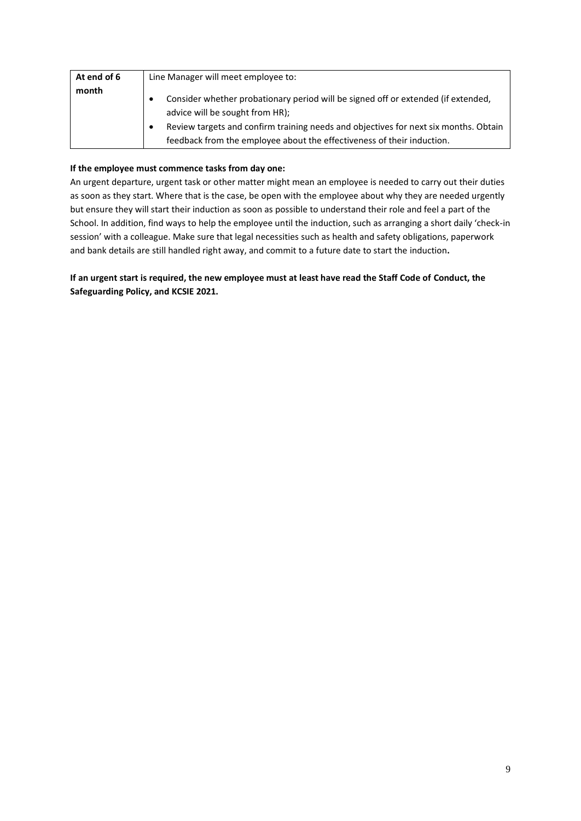| At end of 6 | Line Manager will meet employee to:                                                                                                                                                                          |
|-------------|--------------------------------------------------------------------------------------------------------------------------------------------------------------------------------------------------------------|
| month       | Consider whether probationary period will be signed off or extended (if extended,<br>advice will be sought from HR);<br>Review targets and confirm training needs and objectives for next six months. Obtain |
|             | feedback from the employee about the effectiveness of their induction.                                                                                                                                       |

## **If the employee must commence tasks from day one:**

An urgent departure, urgent task or other matter might mean an employee is needed to carry out their duties as soon as they start. Where that is the case, be open with the employee about why they are needed urgently but ensure they will start their induction as soon as possible to understand their role and feel a part of the School. In addition, find ways to help the employee until the induction, such as arranging a short daily 'check-in session' with a colleague. Make sure that legal necessities such as health and safety obligations, paperwork and bank details are still handled right away, and commit to a future date to start the induction**.**

**If an urgent start is required, the new employee must at least have read the Staff Code of Conduct, the Safeguarding Policy, and KCSIE 2021.**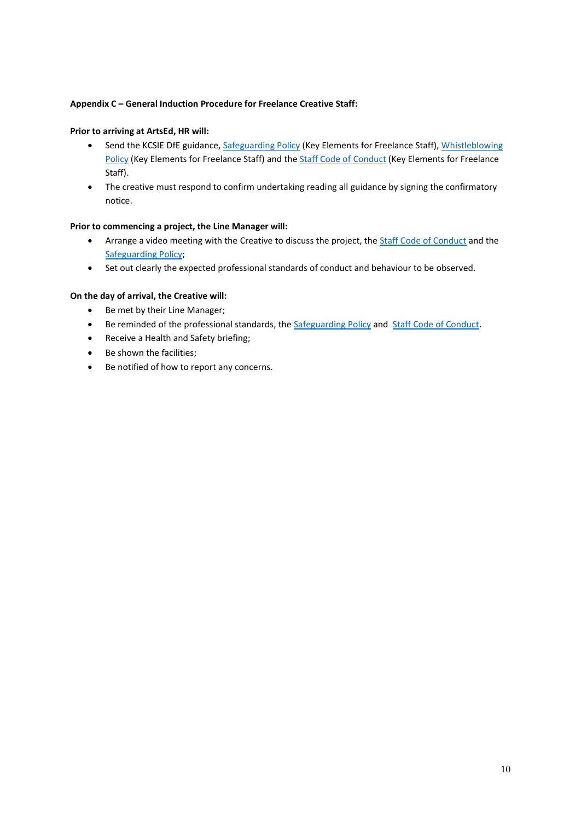### **Appendix C – General Induction Procedure for Freelance Creative Staff:**

### **Prior to arriving at ArtsEd, HR will:**

- Send the KCSIE DfE guidance, [Safeguarding Policy](https://artsed003.blob.core.windows.net/policy/safeguarding-policy.pdf) (Key Elements for Freelance Staff)[, Whistleblowing](https://artsed003.blob.core.windows.net/policy/whistleblowing-policy-and-procedure.pdf)  [Policy](https://artsed003.blob.core.windows.net/policy/whistleblowing-policy-and-procedure.pdf) (Key Elements for Freelance Staff) and th[e Staff Code of Conduct](https://artsed003.blob.core.windows.net/policy/staff-code-of-conduct.pdf) (Key Elements for Freelance Staff).
- The creative must respond to confirm undertaking reading all guidance by signing the confirmatory notice.

#### **Prior to commencing a project, the Line Manager will:**

- Arrange a video meeting with the Creative to discuss the project, th[e Staff Code of Conduct](https://artsed003.blob.core.windows.net/policy/staff-code-of-conduct.pdf) and the [Safeguarding Policy;](https://artsed003.blob.core.windows.net/policy/safeguarding-policy.pdf)
- Set out clearly the expected professional standards of conduct and behaviour to be observed.

### **On the day of arrival, the Creative will:**

- Be met by their Line Manager;
- Be reminded of the professional standards, the [Safeguarding Policy](https://artsed003.blob.core.windows.net/policy/safeguarding-policy.pdf) and [Staff Code of Conduct.](https://artsed003.blob.core.windows.net/policy/staff-code-of-conduct.pdf)
- Receive a Health and Safety briefing;
- Be shown the facilities;
- Be notified of how to report any concerns.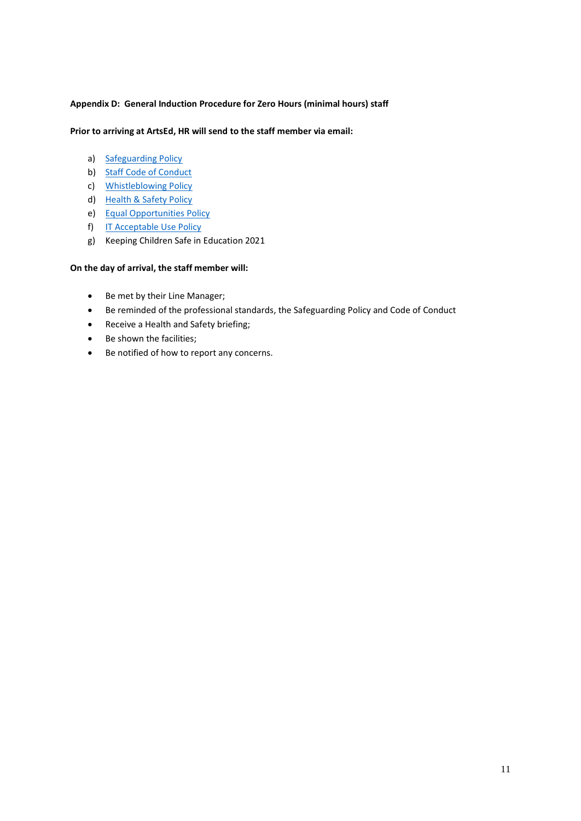### **Appendix D: General Induction Procedure for Zero Hours (minimal hours) staff**

#### **Prior to arriving at ArtsEd, HR will send to the staff member via email:**

- a) [Safeguarding Policy](https://artsed003.blob.core.windows.net/policy/safeguarding-policy.pdf)
- b) [Staff Code of Conduct](https://artsed003.blob.core.windows.net/policy/staff-code-of-conduct.pdf)
- c) [Whistleblowing Policy](https://artsed003.blob.core.windows.net/policy/whistleblowing-policy-and-procedure.pdf)
- d) [Health & Safety Policy](https://artsed003.blob.core.windows.net/policy/health-and-safety-policy.pdf)
- e) [Equal Opportunities Policy](https://artsed003.blob.core.windows.net/policy/equal-opportunities-policy.pdf)
- f) [IT Acceptable Use Policy](https://artsed003.blob.core.windows.net/policy/it-acceptable-use-policy.pdf)
- g) Keeping Children Safe in Education 2021

#### **On the day of arrival, the staff member will:**

- Be met by their Line Manager;
- Be reminded of the professional standards, the Safeguarding Policy and Code of Conduct
- Receive a Health and Safety briefing;
- Be shown the facilities;
- Be notified of how to report any concerns.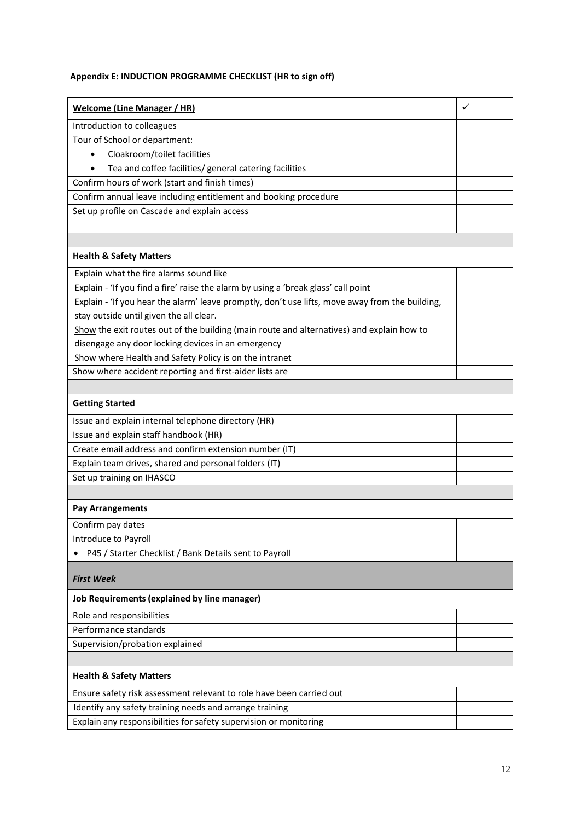## **Appendix E: INDUCTION PROGRAMME CHECKLIST (HR to sign off)**

| <b>Welcome (Line Manager / HR)</b>                                                              | ✓ |
|-------------------------------------------------------------------------------------------------|---|
| Introduction to colleagues                                                                      |   |
| Tour of School or department:                                                                   |   |
| Cloakroom/toilet facilities                                                                     |   |
| Tea and coffee facilities/ general catering facilities                                          |   |
| Confirm hours of work (start and finish times)                                                  |   |
| Confirm annual leave including entitlement and booking procedure                                |   |
| Set up profile on Cascade and explain access                                                    |   |
|                                                                                                 |   |
|                                                                                                 |   |
| <b>Health &amp; Safety Matters</b>                                                              |   |
| Explain what the fire alarms sound like                                                         |   |
| Explain - 'If you find a fire' raise the alarm by using a 'break glass' call point              |   |
| Explain - 'If you hear the alarm' leave promptly, don't use lifts, move away from the building, |   |
| stay outside until given the all clear.                                                         |   |
| Show the exit routes out of the building (main route and alternatives) and explain how to       |   |
| disengage any door locking devices in an emergency                                              |   |
| Show where Health and Safety Policy is on the intranet                                          |   |
| Show where accident reporting and first-aider lists are                                         |   |
|                                                                                                 |   |
| <b>Getting Started</b>                                                                          |   |
| Issue and explain internal telephone directory (HR)                                             |   |
| Issue and explain staff handbook (HR)                                                           |   |
| Create email address and confirm extension number (IT)                                          |   |
| Explain team drives, shared and personal folders (IT)                                           |   |
| Set up training on IHASCO                                                                       |   |
|                                                                                                 |   |
| <b>Pay Arrangements</b>                                                                         |   |
| Confirm pay dates                                                                               |   |
| Introduce to Payroll                                                                            |   |
| P45 / Starter Checklist / Bank Details sent to Payroll                                          |   |
| <b>First Week</b>                                                                               |   |
|                                                                                                 |   |
| Job Requirements (explained by line manager)                                                    |   |
| Role and responsibilities                                                                       |   |
| Performance standards                                                                           |   |
| Supervision/probation explained                                                                 |   |
|                                                                                                 |   |
| <b>Health &amp; Safety Matters</b>                                                              |   |
| Ensure safety risk assessment relevant to role have been carried out                            |   |
| Identify any safety training needs and arrange training                                         |   |
| Explain any responsibilities for safety supervision or monitoring                               |   |